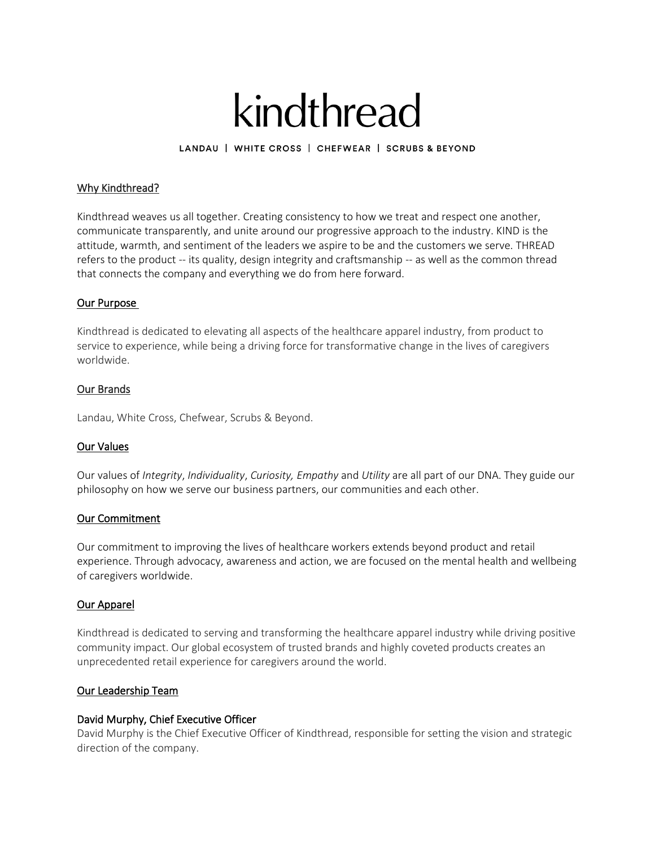# kindthread

LANDAU | WHITE CROSS | CHEFWEAR | SCRUBS & BEYOND

## Why Kindthread?

Kindthread weaves us all together. Creating consistency to how we treat and respect one another, communicate transparently, and unite around our progressive approach to the industry. KIND is the attitude, warmth, and sentiment of the leaders we aspire to be and the customers we serve. THREAD refers to the product -- its quality, design integrity and craftsmanship -- as well as the common thread that connects the company and everything we do from here forward.

## Our Purpose

Kindthread is dedicated to elevating all aspects of the healthcare apparel industry, from product to service to experience, while being a driving force for transformative change in the lives of caregivers worldwide.

#### Our Brands

Landau, White Cross, Chefwear, Scrubs & Beyond.

## Our Values

Our values of *Integrity*, *Individuality*, *Curiosity, Empathy* and *Utility* are all part of our DNA. They guide our philosophy on how we serve our business partners, our communities and each other.

#### Our Commitment

Our commitment to improving the lives of healthcare workers extends beyond product and retail experience. Through advocacy, awareness and action, we are focused on the mental health and wellbeing of caregivers worldwide.

#### Our Apparel

Kindthread is dedicated to serving and transforming the healthcare apparel industry while driving positive community impact. Our global ecosystem of trusted brands and highly coveted products creates an unprecedented retail experience for caregivers around the world.

## Our Leadership Team

#### David Murphy, Chief Executive Officer

David Murphy is the Chief Executive Officer of Kindthread, responsible for setting the vision and strategic direction of the company.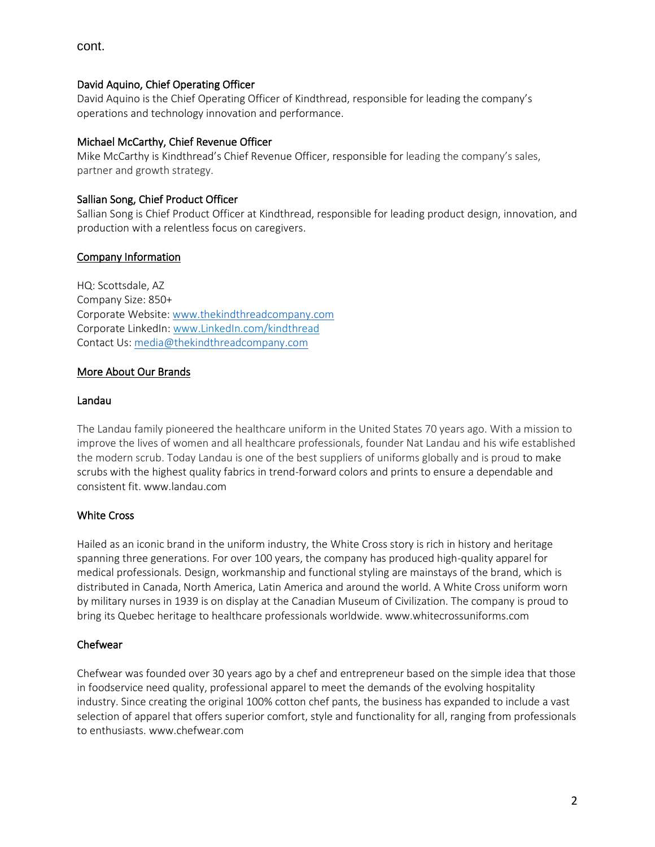cont.

## David Aquino, Chief Operating Officer

David Aquino is the Chief Operating Officer of Kindthread, responsible for leading the company's operations and technology innovation and performance.

## Michael McCarthy, Chief Revenue Officer

Mike McCarthy is Kindthread's Chief Revenue Officer, responsible for leading the company's sales, partner and growth strategy.

## Sallian Song, Chief Product Officer

Sallian Song is Chief Product Officer at Kindthread, responsible for leading product design, innovation, and production with a relentless focus on caregivers.

## Company Information

HQ: Scottsdale, AZ Company Size: 850+ Corporate Website[: www.thekindthreadcompany.com](http://www.thekindthreadcompany.com/) Corporate LinkedIn: www.LinkedIn.com/kindthread Contact Us[: media@thekindthreadcompany.com](mailto:media@thekindthreadcompany.com)

## More About Our Brands

#### Landau

The Landau family pioneered the healthcare uniform in the United States 70 years ago. With a mission to improve the lives of women and all healthcare professionals, founder Nat Landau and his wife established the modern scrub. Today Landau is one of the best suppliers of uniforms globally and is proud to make scrubs with the highest quality fabrics in trend-forward colors and prints to ensure a dependable and consistent fit. www.landau.com

#### White Cross

Hailed as an iconic brand in the uniform industry, the White Cross story is rich in history and heritage spanning three generations. For over 100 years, the company has produced high-quality apparel for medical professionals. Design, workmanship and functional styling are mainstays of the brand, which is distributed in Canada, North America, Latin America and around the world. A White Cross uniform worn by military nurses in 1939 is on display at the Canadian Museum of Civilization. The company is proud to bring its Quebec heritage to healthcare professionals worldwide. www.whitecrossuniforms.com

#### Chefwear

Chefwear was founded over 30 years ago by a chef and entrepreneur based on the simple idea that those in foodservice need quality, professional apparel to meet the demands of the evolving hospitality industry. Since creating the original 100% cotton chef pants, the business has expanded to include a vast selection of apparel that offers superior comfort, style and functionality for all, ranging from professionals to enthusiasts. www.chefwear.com